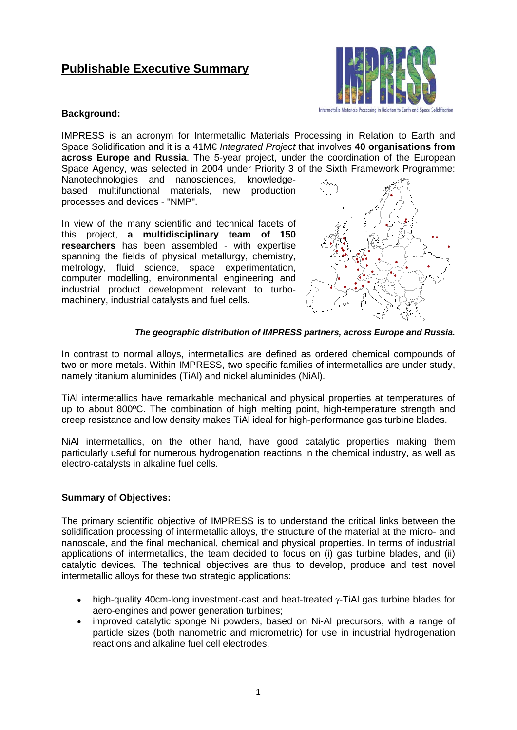# **Publishable Executive Summary**



## **Background:**

IMPRESS is an acronym for Intermetallic Materials Processing in Relation to Earth and Space Solidification and it is a 41M€ *Integrated Project* that involves **40 organisations from across Europe and Russia**. The 5-year project, under the coordination of the European Space Agency, was selected in 2004 under Priority 3 of the Sixth Framework Programme:

Nanotechnologies and nanosciences, knowledgebased multifunctional materials, new production processes and devices - "NMP".

In view of the many scientific and technical facets of this project, **a multidisciplinary team of 150 researchers** has been assembled - with expertise spanning the fields of physical metallurgy, chemistry, metrology, fluid science, space experimentation, computer modelling, environmental engineering and industrial product development relevant to turbomachinery, industrial catalysts and fuel cells.



### *The geographic distribution of IMPRESS partners, across Europe and Russia.*

In contrast to normal alloys, intermetallics are defined as ordered chemical compounds of two or more metals. Within IMPRESS, two specific families of intermetallics are under study, namely titanium aluminides (TiAl) and nickel aluminides (NiAl).

TiAl intermetallics have remarkable mechanical and physical properties at temperatures of up to about 800ºC. The combination of high melting point, high-temperature strength and creep resistance and low density makes TiAl ideal for high-performance gas turbine blades.

NiAl intermetallics, on the other hand, have good catalytic properties making them particularly useful for numerous hydrogenation reactions in the chemical industry, as well as electro-catalysts in alkaline fuel cells.

# **Summary of Objectives:**

The primary scientific objective of IMPRESS is to understand the critical links between the solidification processing of intermetallic alloys, the structure of the material at the micro- and nanoscale, and the final mechanical, chemical and physical properties. In terms of industrial applications of intermetallics, the team decided to focus on (i) gas turbine blades, and (ii) catalytic devices. The technical objectives are thus to develop, produce and test novel intermetallic alloys for these two strategic applications:

- high-quality 40cm-long investment-cast and heat-treated  $\gamma$ -TiAI gas turbine blades for aero-engines and power generation turbines;
- improved catalytic sponge Ni powders, based on Ni-Al precursors, with a range of particle sizes (both nanometric and micrometric) for use in industrial hydrogenation reactions and alkaline fuel cell electrodes.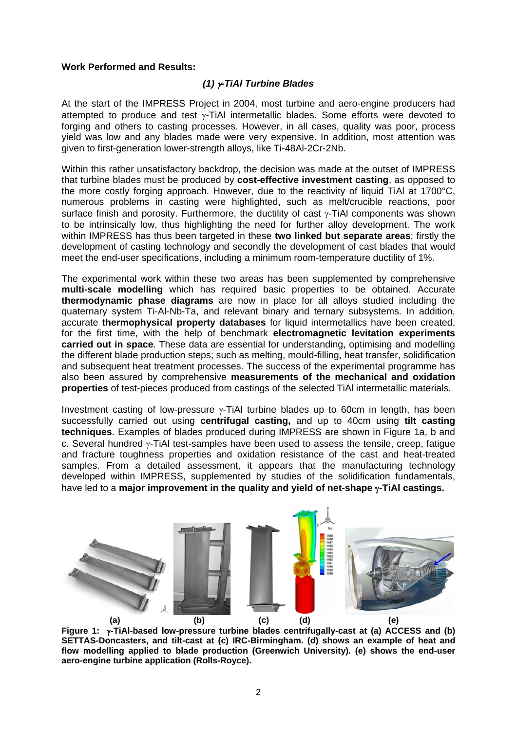## **Work Performed and Results:**

# *(1)* γ*-TiAl Turbine Blades*

At the start of the IMPRESS Project in 2004, most turbine and aero-engine producers had attempted to produce and test γ-TiAl intermetallic blades. Some efforts were devoted to forging and others to casting processes. However, in all cases, quality was poor, process yield was low and any blades made were very expensive. In addition, most attention was given to first-generation lower-strength alloys, like Ti-48Al-2Cr-2Nb.

Within this rather unsatisfactory backdrop, the decision was made at the outset of IMPRESS that turbine blades must be produced by **cost-effective investment casting**, as opposed to the more costly forging approach. However, due to the reactivity of liquid TiAl at 1700°C, numerous problems in casting were highlighted, such as melt/crucible reactions, poor surface finish and porosity. Furthermore, the ductility of cast γ-TiAl components was shown to be intrinsically low, thus highlighting the need for further alloy development. The work within IMPRESS has thus been targeted in these **two linked but separate areas**; firstly the development of casting technology and secondly the development of cast blades that would meet the end-user specifications, including a minimum room-temperature ductility of 1%.

The experimental work within these two areas has been supplemented by comprehensive **multi-scale modelling** which has required basic properties to be obtained. Accurate **thermodynamic phase diagrams** are now in place for all alloys studied including the quaternary system Ti-Al-Nb-Ta, and relevant binary and ternary subsystems. In addition, accurate **thermophysical property databases** for liquid intermetallics have been created, for the first time, with the help of benchmark **electromagnetic levitation experiments carried out in space**. These data are essential for understanding, optimising and modelling the different blade production steps; such as melting, mould-filling, heat transfer, solidification and subsequent heat treatment processes. The success of the experimental programme has also been assured by comprehensive **measurements of the mechanical and oxidation properties** of test-pieces produced from castings of the selected TiAl intermetallic materials.

Investment casting of low-pressure  $\gamma$ -TiAI turbine blades up to 60cm in length, has been successfully carried out using **centrifugal casting,** and up to 40cm using **tilt casting techniques**. Examples of blades produced during IMPRESS are shown in Figure 1a, b and c. Several hundred γ-TiAl test-samples have been used to assess the tensile, creep, fatigue and fracture toughness properties and oxidation resistance of the cast and heat-treated samples. From a detailed assessment, it appears that the manufacturing technology developed within IMPRESS, supplemented by studies of the solidification fundamentals, have led to a **major improvement in the quality and yield of net-shape** γ**-TiAl castings.** 



**Figure 1:** γ**-TiAl-based low-pressure turbine blades centrifugally-cast at (a) ACCESS and (b) SETTAS-Doncasters, and tilt-cast at (c) IRC-Birmingham. (d) shows an example of heat and flow modelling applied to blade production (Greenwich University). (e) shows the end-user aero-engine turbine application (Rolls-Royce).**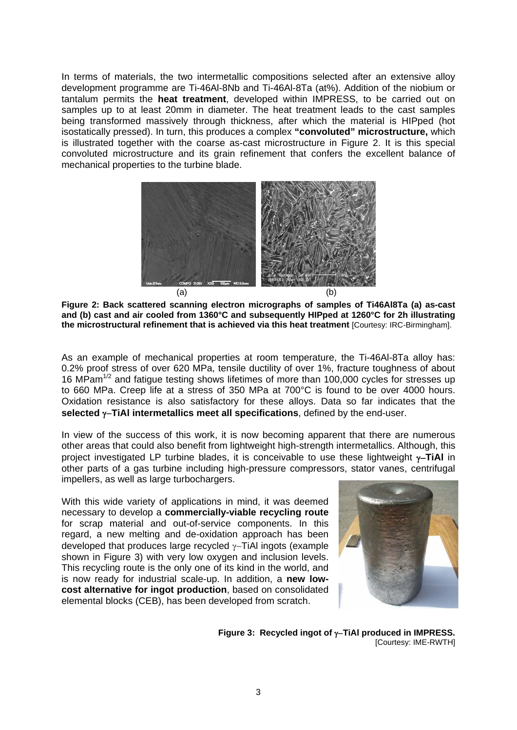In terms of materials, the two intermetallic compositions selected after an extensive alloy development programme are Ti-46Al-8Nb and Ti-46Al-8Ta (at%). Addition of the niobium or tantalum permits the **heat treatment**, developed within IMPRESS, to be carried out on samples up to at least 20mm in diameter. The heat treatment leads to the cast samples being transformed massively through thickness, after which the material is HIPped (hot isostatically pressed). In turn, this produces a complex **"convoluted" microstructure,** which is illustrated together with the coarse as-cast microstructure in Figure 2. It is this special convoluted microstructure and its grain refinement that confers the excellent balance of mechanical properties to the turbine blade.



**Figure 2: Back scattered scanning electron micrographs of samples of Ti46Al8Ta (a) as-cast and (b) cast and air cooled from 1360°C and subsequently HIPped at 1260°C for 2h illustrating the microstructural refinement that is achieved via this heat treatment** [Courtesy: IRC-Birmingham].

As an example of mechanical properties at room temperature, the Ti-46Al-8Ta alloy has: 0.2% proof stress of over 620 MPa, tensile ductility of over 1%, fracture toughness of about 16 MPam<sup>1/2</sup> and fatigue testing shows lifetimes of more than 100,000 cycles for stresses up to 660 MPa. Creep life at a stress of 350 MPa at 700°C is found to be over 4000 hours. Oxidation resistance is also satisfactory for these alloys. Data so far indicates that the **selected** γ−**TiAl intermetallics meet all specifications**, defined by the end-user.

In view of the success of this work, it is now becoming apparent that there are numerous other areas that could also benefit from lightweight high-strength intermetallics. Although, this project investigated LP turbine blades, it is conceivable to use these lightweight γ−**TiAl** in other parts of a gas turbine including high-pressure compressors, stator vanes, centrifugal impellers, as well as large turbochargers.

With this wide variety of applications in mind, it was deemed necessary to develop a **commercially-viable recycling route** for scrap material and out-of-service components. In this regard, a new melting and de-oxidation approach has been developed that produces large recycled γ−TiAl ingots (example shown in Figure 3) with very low oxygen and inclusion levels. This recycling route is the only one of its kind in the world, and is now ready for industrial scale-up. In addition, a **new lowcost alternative for ingot production**, based on consolidated elemental blocks (CEB), has been developed from scratch.



**Figure 3: Recycled ingot of** γ−**TiAl produced in IMPRESS.**  [Courtesy: IME-RWTH]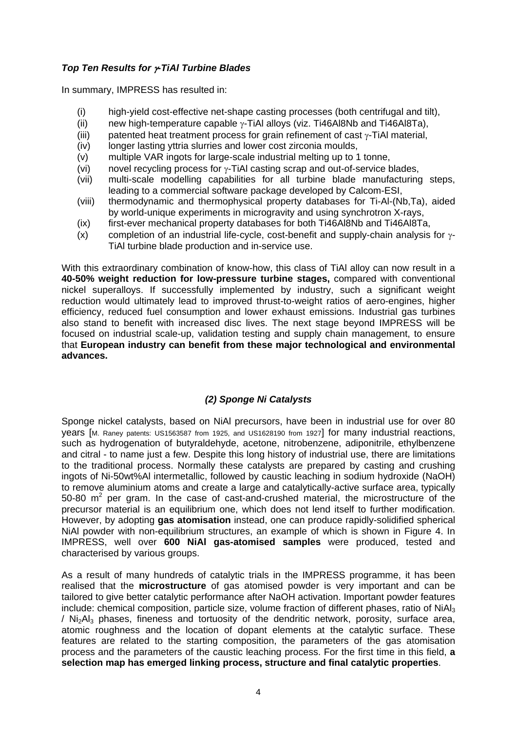# *Top Ten Results for* γ*-TiAl Turbine Blades*

In summary, IMPRESS has resulted in:

- (i) high-yield cost-effective net-shape casting processes (both centrifugal and tilt),
- (ii) new high-temperature capable  $\gamma$ -TiAl alloys (viz. Ti46Al8Nb and Ti46Al8Ta),
- (iii) patented heat treatment process for grain refinement of cast  $\gamma$ -TiAl material,
- (iv) longer lasting yttria slurries and lower cost zirconia moulds,
- (v) multiple VAR ingots for large-scale industrial melting up to 1 tonne,
- (vi) novel recycling process for γ-TiAl casting scrap and out-of-service blades,
- (vii) multi-scale modelling capabilities for all turbine blade manufacturing steps, leading to a commercial software package developed by Calcom-ESI,
- (viii) thermodynamic and thermophysical property databases for Ti-Al-(Nb,Ta), aided by world-unique experiments in microgravity and using synchrotron X-rays,
- (ix) first-ever mechanical property databases for both Ti46Al8Nb and Ti46Al8Ta,
- (x) completion of an industrial life-cycle, cost-benefit and supply-chain analysis for  $\gamma$ -TiAl turbine blade production and in-service use.

With this extraordinary combination of know-how, this class of TiAl alloy can now result in a **40-50% weight reduction for low-pressure turbine stages,** compared with conventional nickel superalloys. If successfully implemented by industry, such a significant weight reduction would ultimately lead to improved thrust-to-weight ratios of aero-engines, higher efficiency, reduced fuel consumption and lower exhaust emissions. Industrial gas turbines also stand to benefit with increased disc lives. The next stage beyond IMPRESS will be focused on industrial scale-up, validation testing and supply chain management, to ensure that **European industry can benefit from these major technological and environmental advances.**

# *(2) Sponge Ni Catalysts*

Sponge nickel catalysts, based on NiAl precursors, have been in industrial use for over 80 years [M. Raney patents: US1563587 from 1925, and US1628190 from 1927] for many industrial reactions, such as hydrogenation of butyraldehyde, acetone, nitrobenzene, adiponitrile, ethylbenzene and citral - to name just a few. Despite this long history of industrial use, there are limitations to the traditional process. Normally these catalysts are prepared by casting and crushing ingots of Ni-50wt%Al intermetallic, followed by caustic leaching in sodium hydroxide (NaOH) to remove aluminium atoms and create a large and catalytically-active surface area, typically 50-80  $m^2$  per gram. In the case of cast-and-crushed material, the microstructure of the precursor material is an equilibrium one, which does not lend itself to further modification. However, by adopting **gas atomisation** instead, one can produce rapidly-solidified spherical NiAl powder with non-equilibrium structures, an example of which is shown in Figure 4. In IMPRESS, well over **600 NiAl gas-atomised samples** were produced, tested and characterised by various groups.

As a result of many hundreds of catalytic trials in the IMPRESS programme, it has been realised that the **microstructure** of gas atomised powder is very important and can be tailored to give better catalytic performance after NaOH activation. Important powder features include: chemical composition, particle size, volume fraction of different phases, ratio of NiA $\frac{1}{3}$ / Ni2Al3 phases, fineness and tortuosity of the dendritic network, porosity, surface area, atomic roughness and the location of dopant elements at the catalytic surface. These features are related to the starting composition, the parameters of the gas atomisation process and the parameters of the caustic leaching process. For the first time in this field, **a selection map has emerged linking process, structure and final catalytic properties**.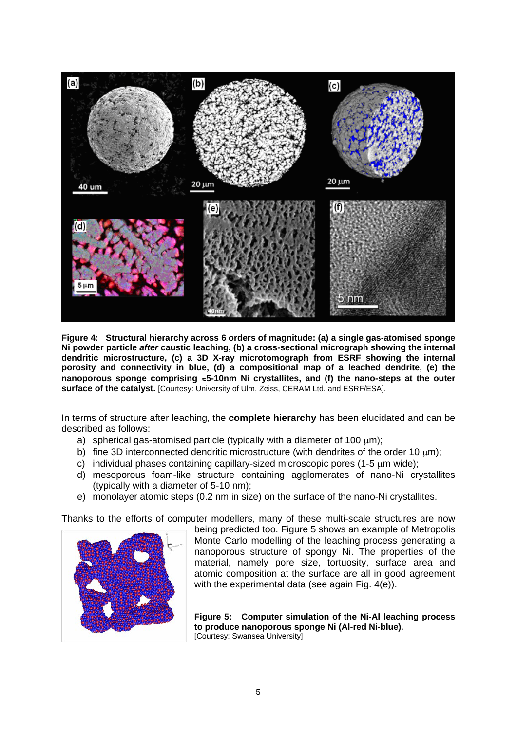

**Figure 4: Structural hierarchy across 6 orders of magnitude: (a) a single gas-atomised sponge Ni powder particle** *after* **caustic leaching, (b) a cross-sectional micrograph showing the internal dendritic microstructure, (c) a 3D X-ray microtomograph from ESRF showing the internal porosity and connectivity in blue, (d) a compositional map of a leached dendrite, (e) the nanoporous sponge comprising** ≈**5-10nm Ni crystallites, and (f) the nano-steps at the outer**  surface of the catalyst. [Courtesy: University of Ulm, Zeiss, CERAM Ltd. and ESRF/ESA].

In terms of structure after leaching, the **complete hierarchy** has been elucidated and can be described as follows:

- a) spherical gas-atomised particle (typically with a diameter of 100  $\mu$ m);
- b) fine 3D interconnected dendritic microstructure (with dendrites of the order 10 μm);
- c) individual phases containing capillary-sized microscopic pores (1-5 μm wide);
- d) mesoporous foam-like structure containing agglomerates of nano-Ni crystallites (typically with a diameter of 5-10 nm);
- e) monolayer atomic steps (0.2 nm in size) on the surface of the nano-Ni crystallites.

Thanks to the efforts of computer modellers, many of these multi-scale structures are now



being predicted too. Figure 5 shows an example of Metropolis Monte Carlo modelling of the leaching process generating a nanoporous structure of spongy Ni. The properties of the material, namely pore size, tortuosity, surface area and atomic composition at the surface are all in good agreement with the experimental data (see again Fig. 4(e)).

**Figure 5: Computer simulation of the Ni-Al leaching process to produce nanoporous sponge Ni (Al-red Ni-blue).**  [Courtesy: Swansea University]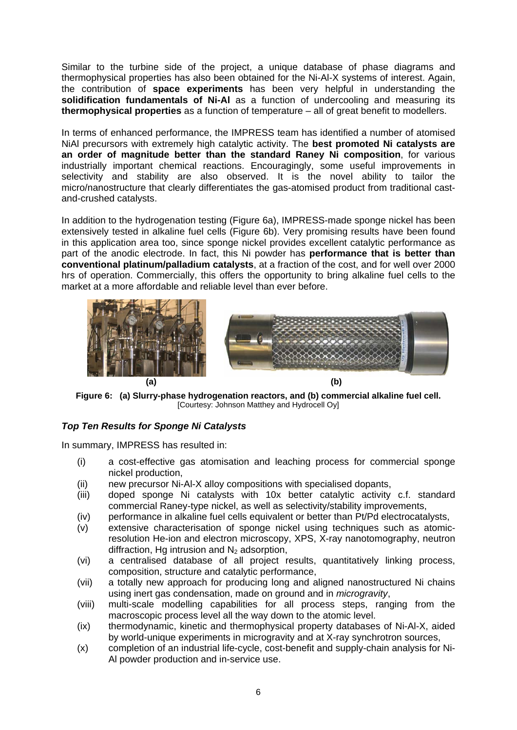Similar to the turbine side of the project, a unique database of phase diagrams and thermophysical properties has also been obtained for the Ni-Al-X systems of interest. Again, the contribution of **space experiments** has been very helpful in understanding the **solidification fundamentals of Ni-Al** as a function of undercooling and measuring its **thermophysical properties** as a function of temperature – all of great benefit to modellers.

In terms of enhanced performance, the IMPRESS team has identified a number of atomised NiAl precursors with extremely high catalytic activity. The **best promoted Ni catalysts are an order of magnitude better than the standard Raney Ni composition**, for various industrially important chemical reactions. Encouragingly, some useful improvements in selectivity and stability are also observed. It is the novel ability to tailor the micro/nanostructure that clearly differentiates the gas-atomised product from traditional castand-crushed catalysts.

In addition to the hydrogenation testing (Figure 6a), IMPRESS-made sponge nickel has been extensively tested in alkaline fuel cells (Figure 6b). Very promising results have been found in this application area too, since sponge nickel provides excellent catalytic performance as part of the anodic electrode. In fact, this Ni powder has **performance that is better than conventional platinum/palladium catalysts**, at a fraction of the cost, and for well over 2000 hrs of operation. Commercially, this offers the opportunity to bring alkaline fuel cells to the market at a more affordable and reliable level than ever before.



**Figure 6: (a) Slurry-phase hydrogenation reactors, and (b) commercial alkaline fuel cell.**  [Courtesy: Johnson Matthey and Hydrocell Oy]

# *Top Ten Results for Sponge Ni Catalysts*

In summary, IMPRESS has resulted in:

- (i) a cost-effective gas atomisation and leaching process for commercial sponge nickel production,
- (ii) new precursor Ni-Al-X alloy compositions with specialised dopants,
- (iii) doped sponge Ni catalysts with 10x better catalytic activity c.f. standard commercial Raney-type nickel, as well as selectivity/stability improvements,
- (iv) performance in alkaline fuel cells equivalent or better than Pt/Pd electrocatalysts,
- (v) extensive characterisation of sponge nickel using techniques such as atomicresolution He-ion and electron microscopy, XPS, X-ray nanotomography, neutron diffraction, Hg intrusion and  $N<sub>2</sub>$  adsorption,
- (vi) a centralised database of all project results, quantitatively linking process, composition, structure and catalytic performance,
- (vii) a totally new approach for producing long and aligned nanostructured Ni chains using inert gas condensation, made on ground and in *microgravity*,
- (viii) multi-scale modelling capabilities for all process steps, ranging from the macroscopic process level all the way down to the atomic level.
- (ix) thermodynamic, kinetic and thermophysical property databases of Ni-Al-X, aided by world-unique experiments in microgravity and at X-ray synchrotron sources,
- (x) completion of an industrial life-cycle, cost-benefit and supply-chain analysis for Ni-Al powder production and in-service use.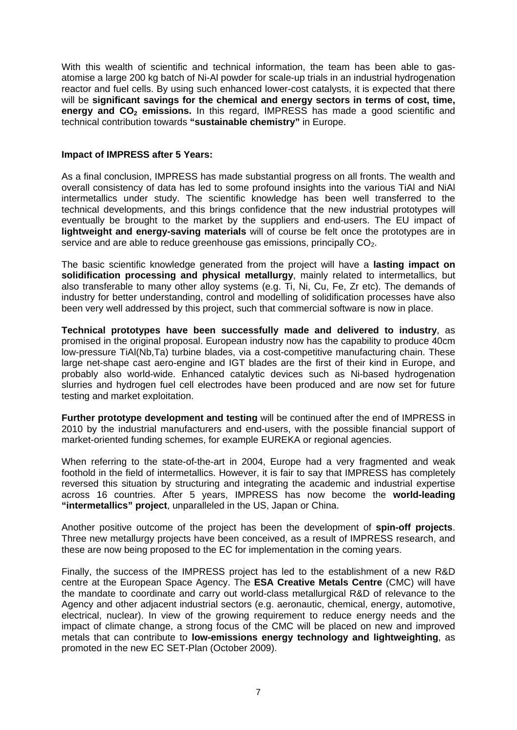With this wealth of scientific and technical information, the team has been able to gasatomise a large 200 kg batch of Ni-Al powder for scale-up trials in an industrial hydrogenation reactor and fuel cells. By using such enhanced lower-cost catalysts, it is expected that there will be **significant savings for the chemical and energy sectors in terms of cost, time, energy and CO<sub>2</sub> emissions.** In this regard, IMPRESS has made a good scientific and technical contribution towards **"sustainable chemistry"** in Europe.

### **Impact of IMPRESS after 5 Years:**

As a final conclusion, IMPRESS has made substantial progress on all fronts. The wealth and overall consistency of data has led to some profound insights into the various TiAl and NiAl intermetallics under study. The scientific knowledge has been well transferred to the technical developments, and this brings confidence that the new industrial prototypes will eventually be brought to the market by the suppliers and end-users. The EU impact of **lightweight and energy-saving materials** will of course be felt once the prototypes are in service and are able to reduce greenhouse gas emissions, principally  $CO<sub>2</sub>$ .

The basic scientific knowledge generated from the project will have a **lasting impact on solidification processing and physical metallurgy**, mainly related to intermetallics, but also transferable to many other alloy systems (e.g. Ti, Ni, Cu, Fe, Zr etc). The demands of industry for better understanding, control and modelling of solidification processes have also been very well addressed by this project, such that commercial software is now in place.

**Technical prototypes have been successfully made and delivered to industry**, as promised in the original proposal. European industry now has the capability to produce 40cm low-pressure TiAl(Nb,Ta) turbine blades, via a cost-competitive manufacturing chain. These large net-shape cast aero-engine and IGT blades are the first of their kind in Europe, and probably also world-wide. Enhanced catalytic devices such as Ni-based hydrogenation slurries and hydrogen fuel cell electrodes have been produced and are now set for future testing and market exploitation.

**Further prototype development and testing** will be continued after the end of IMPRESS in 2010 by the industrial manufacturers and end-users, with the possible financial support of market-oriented funding schemes, for example EUREKA or regional agencies.

When referring to the state-of-the-art in 2004, Europe had a very fragmented and weak foothold in the field of intermetallics. However, it is fair to say that IMPRESS has completely reversed this situation by structuring and integrating the academic and industrial expertise across 16 countries. After 5 years, IMPRESS has now become the **world-leading "intermetallics" project**, unparalleled in the US, Japan or China.

Another positive outcome of the project has been the development of **spin-off projects**. Three new metallurgy projects have been conceived, as a result of IMPRESS research, and these are now being proposed to the EC for implementation in the coming years.

Finally, the success of the IMPRESS project has led to the establishment of a new R&D centre at the European Space Agency. The **ESA Creative Metals Centre** (CMC) will have the mandate to coordinate and carry out world-class metallurgical R&D of relevance to the Agency and other adjacent industrial sectors (e.g. aeronautic, chemical, energy, automotive, electrical, nuclear). In view of the growing requirement to reduce energy needs and the impact of climate change, a strong focus of the CMC will be placed on new and improved metals that can contribute to **low-emissions energy technology and lightweighting**, as promoted in the new EC SET-Plan (October 2009).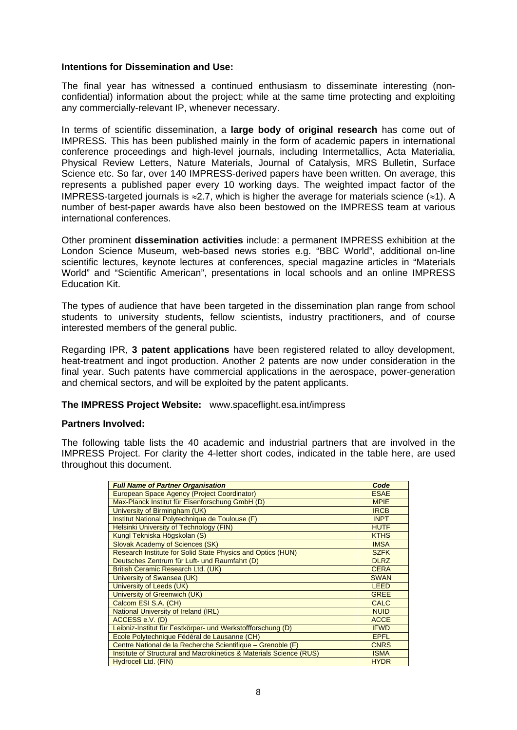## **Intentions for Dissemination and Use:**

The final year has witnessed a continued enthusiasm to disseminate interesting (nonconfidential) information about the project; while at the same time protecting and exploiting any commercially-relevant IP, whenever necessary.

In terms of scientific dissemination, a **large body of original research** has come out of IMPRESS. This has been published mainly in the form of academic papers in international conference proceedings and high-level journals, including Intermetallics, Acta Materialia, Physical Review Letters, Nature Materials, Journal of Catalysis, MRS Bulletin, Surface Science etc. So far, over 140 IMPRESS-derived papers have been written. On average, this represents a published paper every 10 working days. The weighted impact factor of the IMPRESS-targeted journals is  $\approx$ 2.7, which is higher the average for materials science ( $\approx$ 1). A number of best-paper awards have also been bestowed on the IMPRESS team at various international conferences.

Other prominent **dissemination activities** include: a permanent IMPRESS exhibition at the London Science Museum, web-based news stories e.g. "BBC World", additional on-line scientific lectures, keynote lectures at conferences, special magazine articles in "Materials World" and "Scientific American", presentations in local schools and an online IMPRESS Education Kit.

The types of audience that have been targeted in the dissemination plan range from school students to university students, fellow scientists, industry practitioners, and of course interested members of the general public.

Regarding IPR, **3 patent applications** have been registered related to alloy development, heat-treatment and ingot production. Another 2 patents are now under consideration in the final year. Such patents have commercial applications in the aerospace, power-generation and chemical sectors, and will be exploited by the patent applicants.

## **The IMPRESS Project Website:** www.spaceflight.esa.int/impress

### **Partners Involved:**

The following table lists the 40 academic and industrial partners that are involved in the IMPRESS Project. For clarity the 4-letter short codes, indicated in the table here, are used throughout this document.

| <b>Full Name of Partner Organisation</b>                            | Code        |
|---------------------------------------------------------------------|-------------|
| European Space Agency (Project Coordinator)                         | <b>ESAE</b> |
| Max-Planck Institut für Eisenforschung GmbH (D)                     | <b>MPIE</b> |
| University of Birmingham (UK)                                       | <b>IRCB</b> |
| Institut National Polytechnique de Toulouse (F)                     | <b>INPT</b> |
| <b>Helsinki University of Technology (FIN)</b>                      | <b>HUTF</b> |
| Kungl Tekniska Högskolan (S)                                        | <b>KTHS</b> |
| Slovak Academy of Sciences (SK)                                     | <b>IMSA</b> |
| Research Institute for Solid State Physics and Optics (HUN)         | <b>SZFK</b> |
| Deutsches Zentrum für Luft- und Raumfahrt (D)                       | <b>DLRZ</b> |
| British Ceramic Research Ltd. (UK)                                  | <b>CERA</b> |
| University of Swansea (UK)                                          | <b>SWAN</b> |
| University of Leeds (UK)                                            | <b>LEED</b> |
| University of Greenwich (UK)                                        | <b>GREE</b> |
| Calcom ESI S.A. (CH)                                                | <b>CALC</b> |
| National University of Ireland (IRL)                                | <b>NUID</b> |
| ACCESS e.V. (D)                                                     | <b>ACCE</b> |
| Leibniz-Institut für Festkörper- und Werkstoffforschung (D)         | <b>IFWD</b> |
| Ecole Polytechnique Fédéral de Lausanne (CH)                        | <b>EPFL</b> |
| Centre National de la Recherche Scientifique - Grenoble (F)         | <b>CNRS</b> |
| Institute of Structural and Macrokinetics & Materials Science (RUS) | <b>ISMA</b> |
| Hydrocell Ltd. (FIN)                                                | <b>HYDR</b> |